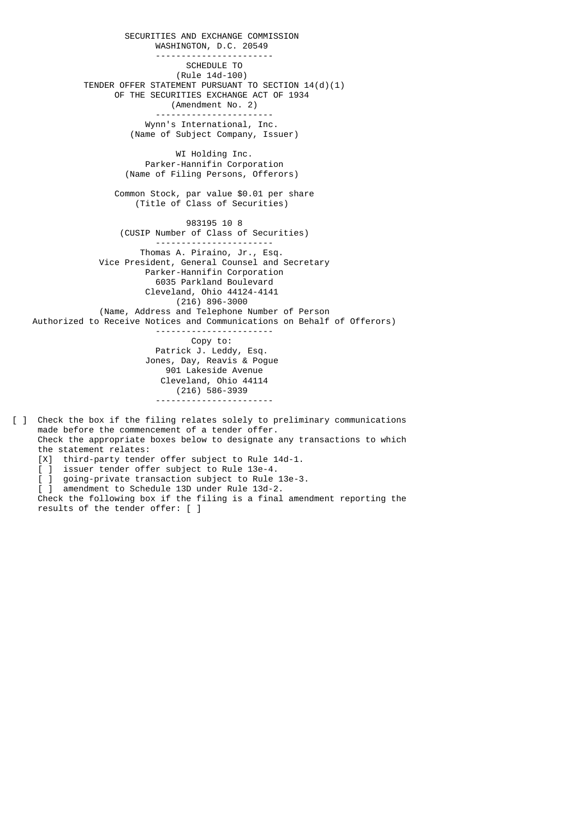SECURITIES AND EXCHANGE COMMISSION WASHINGTON, D.C. 20549 ----------------------- SCHEDULE TO (Rule 14d-100) TENDER OFFER STATEMENT PURSUANT TO SECTION 14(d)(1) OF THE SECURITIES EXCHANGE ACT OF 1934 (Amendment No. 2) ----------------------- Wynn's International, Inc. (Name of Subject Company, Issuer) WI Holding Inc. Parker-Hannifin Corporation (Name of Filing Persons, Offerors) Common Stock, par value \$0.01 per share (Title of Class of Securities) 983195 10 8 (CUSIP Number of Class of Securities) ----------------------- Thomas A. Piraino, Jr., Esq. Vice President, General Counsel and Secretary Parker-Hannifin Corporation 6035 Parkland Boulevard Cleveland, Ohio 44124-4141 (216) 896-3000 (Name, Address and Telephone Number of Person Authorized to Receive Notices and Communications on Behalf of Offerors) ----------------------- Copy to: Patrick J. Leddy, Esq. Jones, Day, Reavis & Pogue 901 Lakeside Avenue Cleveland, Ohio 44114 (216) 586-3939 -----------------------

- [ ] Check the box if the filing relates solely to preliminary communications made before the commencement of a tender offer. Check the appropriate boxes below to designate any transactions to which the statement relates: [X] third-party tender offer subject to Rule 14d-1.
- [ ] issuer tender offer subject to Rule 13e-4.
- [ ] going-private transaction subject to Rule 13e-3.
- [ ] amendment to Schedule 13D under Rule 13d-2.

 Check the following box if the filing is a final amendment reporting the results of the tender offer: [ ]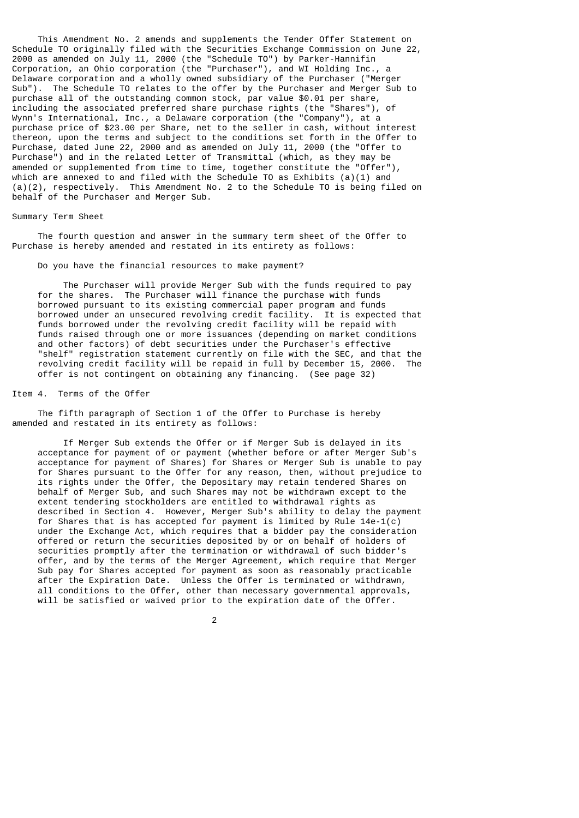This Amendment No. 2 amends and supplements the Tender Offer Statement on Schedule TO originally filed with the Securities Exchange Commission on June 22, 2000 as amended on July 11, 2000 (the "Schedule TO") by Parker-Hannifin Corporation, an Ohio corporation (the "Purchaser"), and WI Holding Inc., a Delaware corporation and a wholly owned subsidiary of the Purchaser ("Merger Sub"). The Schedule TO relates to the offer by the Purchaser and Merger Sub to purchase all of the outstanding common stock, par value \$0.01 per share, including the associated preferred share purchase rights (the "Shares"), of Wynn's International, Inc., a Delaware corporation (the "Company"), at a purchase price of \$23.00 per Share, net to the seller in cash, without interest thereon, upon the terms and subject to the conditions set forth in the Offer to Purchase, dated June 22, 2000 and as amended on July 11, 2000 (the "Offer to Purchase") and in the related Letter of Transmittal (which, as they may be amended or supplemented from time to time, together constitute the "Offer"), which are annexed to and filed with the Schedule TO as Exhibits  $(a)(1)$  and (a)(2), respectively. This Amendment No. 2 to the Schedule TO is being filed on behalf of the Purchaser and Merger Sub.

## Summary Term Sheet

 The fourth question and answer in the summary term sheet of the Offer to Purchase is hereby amended and restated in its entirety as follows:

Do you have the financial resources to make payment?

 The Purchaser will provide Merger Sub with the funds required to pay for the shares. The Purchaser will finance the purchase with funds borrowed pursuant to its existing commercial paper program and funds borrowed under an unsecured revolving credit facility. It is expected that funds borrowed under the revolving credit facility will be repaid with funds raised through one or more issuances (depending on market conditions and other factors) of debt securities under the Purchaser's effective "shelf" registration statement currently on file with the SEC, and that the revolving credit facility will be repaid in full by December 15, 2000. The offer is not contingent on obtaining any financing. (See page 32)

## Item 4. Terms of the Offer

 The fifth paragraph of Section 1 of the Offer to Purchase is hereby amended and restated in its entirety as follows:

 If Merger Sub extends the Offer or if Merger Sub is delayed in its acceptance for payment of or payment (whether before or after Merger Sub's acceptance for payment of Shares) for Shares or Merger Sub is unable to pay for Shares pursuant to the Offer for any reason, then, without prejudice to its rights under the Offer, the Depositary may retain tendered Shares on behalf of Merger Sub, and such Shares may not be withdrawn except to the extent tendering stockholders are entitled to withdrawal rights as described in Section 4. However, Merger Sub's ability to delay the payment for Shares that is has accepted for payment is limited by Rule  $14e-1(c)$  under the Exchange Act, which requires that a bidder pay the consideration offered or return the securities deposited by or on behalf of holders of securities promptly after the termination or withdrawal of such bidder's offer, and by the terms of the Merger Agreement, which require that Merger Sub pay for Shares accepted for payment as soon as reasonably practicable after the Expiration Date. Unless the Offer is terminated or withdrawn, all conditions to the Offer, other than necessary governmental approvals, will be satisfied or waived prior to the expiration date of the Offer.

2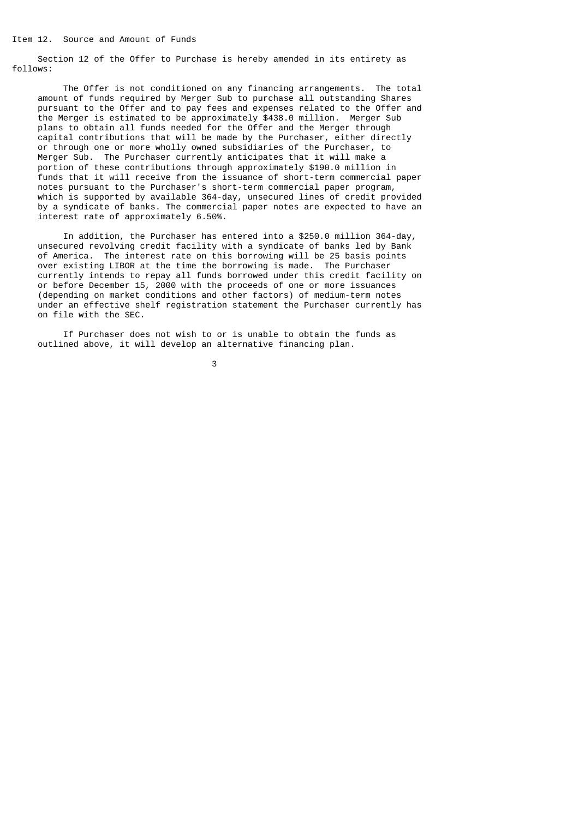Section 12 of the Offer to Purchase is hereby amended in its entirety as follows:

 The Offer is not conditioned on any financing arrangements. The total amount of funds required by Merger Sub to purchase all outstanding Shares pursuant to the Offer and to pay fees and expenses related to the Offer and the Merger is estimated to be approximately \$438.0 million. Merger Sub plans to obtain all funds needed for the Offer and the Merger through capital contributions that will be made by the Purchaser, either directly or through one or more wholly owned subsidiaries of the Purchaser, to Merger Sub. The Purchaser currently anticipates that it will make a portion of these contributions through approximately \$190.0 million in funds that it will receive from the issuance of short-term commercial paper notes pursuant to the Purchaser's short-term commercial paper program, which is supported by available 364-day, unsecured lines of credit provided by a syndicate of banks. The commercial paper notes are expected to have an interest rate of approximately 6.50%.

 In addition, the Purchaser has entered into a \$250.0 million 364-day, unsecured revolving credit facility with a syndicate of banks led by Bank of America. The interest rate on this borrowing will be 25 basis points over existing LIBOR at the time the borrowing is made. The Purchaser currently intends to repay all funds borrowed under this credit facility on or before December 15, 2000 with the proceeds of one or more issuances (depending on market conditions and other factors) of medium-term notes under an effective shelf registration statement the Purchaser currently has on file with the SEC.

 If Purchaser does not wish to or is unable to obtain the funds as outlined above, it will develop an alternative financing plan.

 $\sim$  3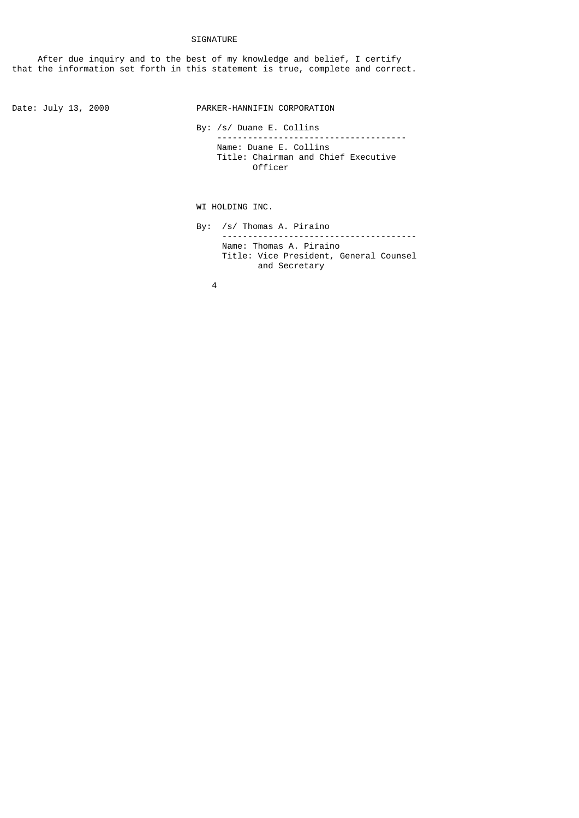## SIGNATURE

 After due inquiry and to the best of my knowledge and belief, I certify that the information set forth in this statement is true, complete and correct.

Date: July 13, 2000 PARKER-HANNIFIN CORPORATION

 By: /s/ Duane E. Collins ------------------------------------- Name: Duane E. Collins Title: Chairman and Chief Executive Officer

WI HOLDING INC.

 By: /s/ Thomas A. Piraino -------------------------------------- Name: Thomas A. Piraino Title: Vice President, General Counsel and Secretary

4